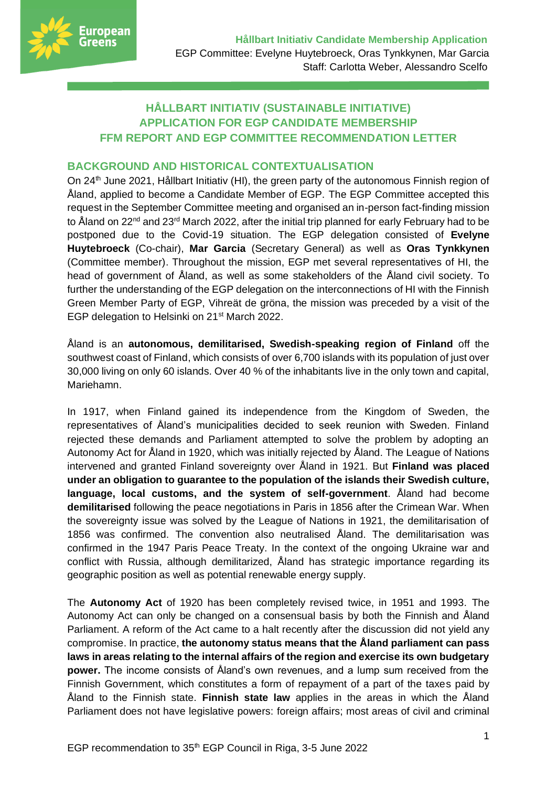

# **HÅLLBART INITIATIV (SUSTAINABLE INITIATIVE) APPLICATION FOR EGP CANDIDATE MEMBERSHIP FFM REPORT AND EGP COMMITTEE RECOMMENDATION LETTER**

#### **BACKGROUND AND HISTORICAL CONTEXTUALISATION**

On 24<sup>th</sup> June 2021, Hållbart Initiativ (HI), the green party of the autonomous Finnish region of Åland, applied to become a Candidate Member of EGP. The EGP Committee accepted this request in the September Committee meeting and organised an in-person fact-finding mission to Åland on 22<sup>nd</sup> and 23<sup>rd</sup> March 2022, after the initial trip planned for early February had to be postponed due to the Covid-19 situation. The EGP delegation consisted of **Evelyne Huytebroeck** (Co-chair), **Mar Garcia** (Secretary General) as well as **Oras Tynkkynen** (Committee member). Throughout the mission, EGP met several representatives of HI, the head of government of Åland, as well as some stakeholders of the Åland civil society. To further the understanding of the EGP delegation on the interconnections of HI with the Finnish Green Member Party of EGP, Vihreät de gröna, the mission was preceded by a visit of the EGP delegation to Helsinki on 21<sup>st</sup> March 2022.

Åland is an **autonomous, demilitarised, Swedish-speaking region of Finland** off the southwest coast of Finland, which consists of over 6,700 islands with its population of just over 30,000 living on only 60 islands. Over 40 % of the inhabitants live in the only town and capital, Mariehamn.

In 1917, when Finland gained its independence from the Kingdom of Sweden, the representatives of Åland's municipalities decided to seek reunion with Sweden. Finland rejected these demands and Parliament attempted to solve the problem by adopting an Autonomy Act for Åland in 1920, which was initially rejected by Åland. The League of Nations intervened and granted Finland sovereignty over Åland in 1921. But **Finland was placed under an obligation to guarantee to the population of the islands their Swedish culture, language, local customs, and the system of self-government**. Åland had become **demilitarised** following the peace negotiations in Paris in 1856 after the Crimean War. When the sovereignty issue was solved by the League of Nations in 1921, the demilitarisation of 1856 was confirmed. The convention also neutralised Åland. The demilitarisation was confirmed in the 1947 Paris Peace Treaty. In the context of the ongoing Ukraine war and conflict with Russia, although demilitarized, Åland has strategic importance regarding its geographic position as well as potential renewable energy supply.

The **Autonomy Act** of 1920 has been completely revised twice, in 1951 and 1993. The Autonomy Act can only be changed on a consensual basis by both the Finnish and Åland Parliament. A reform of the Act came to a halt recently after the discussion did not yield any compromise. In practice, **the autonomy status means that the Åland parliament can pass laws in areas relating to the internal affairs of the region and exercise its own budgetary power.** The income consists of Åland's own revenues, and a lump sum received from the Finnish Government, which constitutes a form of repayment of a part of the taxes paid by Åland to the Finnish state. **Finnish state law** applies in the areas in which the Åland Parliament does not have legislative powers: foreign affairs; most areas of civil and criminal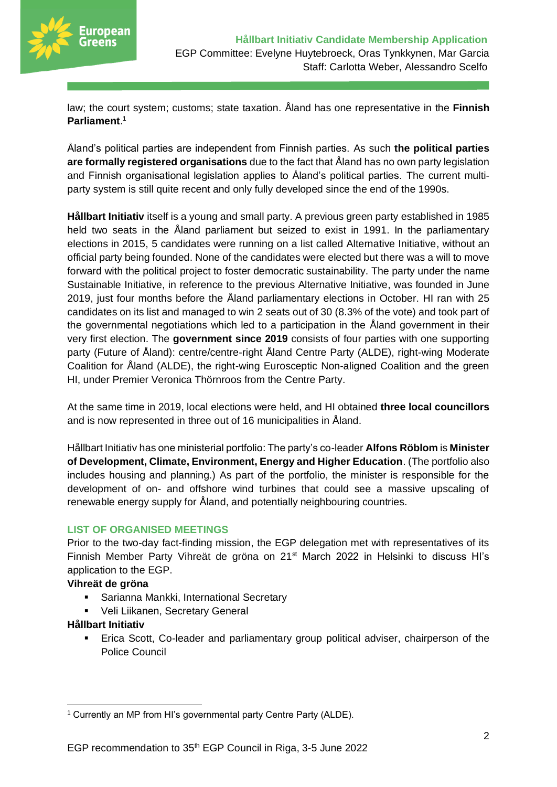

law; the court system; customs; state taxation. Åland has one representative in the **Finnish Parliament**. 1

Åland's political parties are independent from Finnish parties. As such **the political parties are formally registered organisations** due to the fact that Åland has no own party legislation and Finnish organisational legislation applies to Åland's political parties. The current multiparty system is still quite recent and only fully developed since the end of the 1990s.

**Hållbart Initiativ** itself is a young and small party. A previous green party established in 1985 held two seats in the Åland parliament but seized to exist in 1991. In the parliamentary elections in 2015, 5 candidates were running on a list called Alternative Initiative, without an official party being founded. None of the candidates were elected but there was a will to move forward with the political project to foster democratic sustainability. The party under the name Sustainable Initiative, in reference to the previous Alternative Initiative, was founded in June 2019, just four months before the Åland parliamentary elections in October. HI ran with 25 candidates on its list and managed to win 2 seats out of 30 (8.3% of the vote) and took part of the governmental negotiations which led to a participation in the Åland government in their very first election. The **government since 2019** consists of four parties with one supporting party (Future of Åland): centre/centre-right Åland Centre Party (ALDE), right-wing Moderate Coalition for Åland (ALDE), the right-wing Eurosceptic Non-aligned Coalition and the green HI, under Premier Veronica Thörnroos from the Centre Party.

At the same time in 2019, local elections were held, and HI obtained **three local councillors**  and is now represented in three out of 16 municipalities in Åland.

Hållbart Initiativ has one ministerial portfolio: The party's co-leader **Alfons Röblom** is **Minister of Development, Climate, Environment, Energy and Higher Education**. (The portfolio also includes housing and planning.) As part of the portfolio, the minister is responsible for the development of on- and offshore wind turbines that could see a massive upscaling of renewable energy supply for Åland, and potentially neighbouring countries.

#### **LIST OF ORGANISED MEETINGS**

Prior to the two-day fact-finding mission, the EGP delegation met with representatives of its Finnish Member Party Vihreät de gröna on 21<sup>st</sup> March 2022 in Helsinki to discuss HI's application to the EGP.

#### **Vihreät de gröna**

- Sarianna Mankki, International Secretary
- Veli Liikanen, Secretary General

#### **Hållbart Initiativ**

Erica Scott, Co-leader and parliamentary group political adviser, chairperson of the Police Council

<sup>&</sup>lt;sup>1</sup> Currently an MP from HI's governmental party Centre Party (ALDE).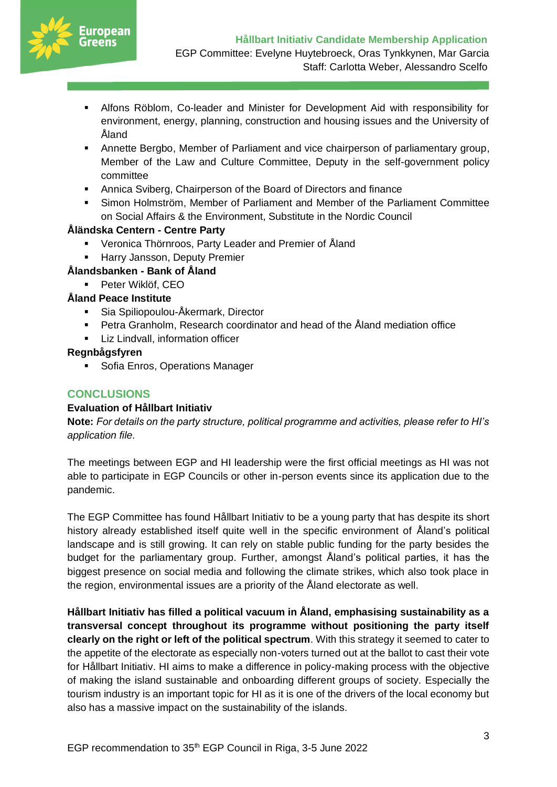

- Alfons Röblom, Co-leader and Minister for Development Aid with responsibility for environment, energy, planning, construction and housing issues and the University of Åland
- **Annette Bergbo, Member of Parliament and vice chairperson of parliamentary group,** Member of the Law and Culture Committee, Deputy in the self-government policy committee
- Annica Sviberg, Chairperson of the Board of Directors and finance
- Simon Holmström, Member of Parliament and Member of the Parliament Committee on Social Affairs & the Environment, Substitute in the Nordic Council

## **Åländska Centern - Centre Party**

- Veronica Thörnroos, Party Leader and Premier of Åland
- **E** Harry Jansson, Deputy Premier

## **Ålandsbanken - Bank of Åland**

▪ Peter Wiklöf, CEO

## **Åland Peace Institute**

- Sia Spiliopoulou-Åkermark, Director
- [Petra Granholm,](https://peace.ax/en/kontakt/petra-granholm/) Research coordinator and head of the Åland mediation office
- **EXECT** Liz Lindvall, information officer

#### **Regnbågsfyren**

■ Sofia Enros, Operations Manager

## **CONCLUSIONS**

#### **Evaluation of Hållbart Initiativ**

**Note:** *For details on the party structure, political programme and activities, please refer to HI's application file.*

The meetings between EGP and HI leadership were the first official meetings as HI was not able to participate in EGP Councils or other in-person events since its application due to the pandemic.

The EGP Committee has found Hållbart Initiativ to be a young party that has despite its short history already established itself quite well in the specific environment of Åland's political landscape and is still growing. It can rely on stable public funding for the party besides the budget for the parliamentary group. Further, amongst Åland's political parties, it has the biggest presence on social media and following the climate strikes, which also took place in the region, environmental issues are a priority of the Åland electorate as well.

**Hållbart Initiativ has filled a political vacuum in Åland, emphasising sustainability as a transversal concept throughout its programme without positioning the party itself clearly on the right or left of the political spectrum**. With this strategy it seemed to cater to the appetite of the electorate as especially non-voters turned out at the ballot to cast their vote for Hållbart Initiativ. HI aims to make a difference in policy-making process with the objective of making the island sustainable and onboarding different groups of society. Especially the tourism industry is an important topic for HI as it is one of the drivers of the local economy but also has a massive impact on the sustainability of the islands.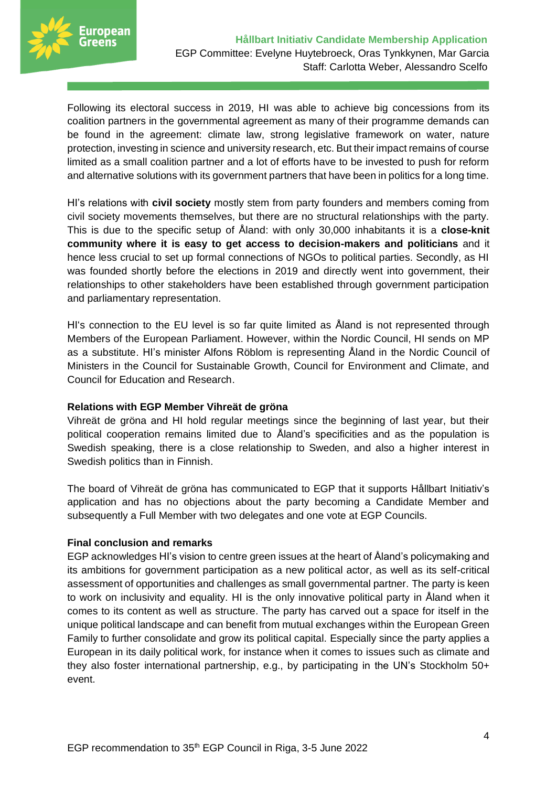

Following its electoral success in 2019, HI was able to achieve big concessions from its coalition partners in the governmental agreement as many of their programme demands can be found in the agreement: climate law, strong legislative framework on water, nature protection, investing in science and university research, etc. But their impact remains of course limited as a small coalition partner and a lot of efforts have to be invested to push for reform and alternative solutions with its government partners that have been in politics for a long time.

HI's relations with **civil society** mostly stem from party founders and members coming from civil society movements themselves, but there are no structural relationships with the party. This is due to the specific setup of Åland: with only 30,000 inhabitants it is a **close-knit community where it is easy to get access to decision-makers and politicians** and it hence less crucial to set up formal connections of NGOs to political parties. Secondly, as HI was founded shortly before the elections in 2019 and directly went into government, their relationships to other stakeholders have been established through government participation and parliamentary representation.

HI's connection to the EU level is so far quite limited as Åland is not represented through Members of the European Parliament. However, within the Nordic Council, HI sends on MP as a substitute. HI's minister Alfons Röblom is representing Åland in the Nordic Council of Ministers in the Council for Sustainable Growth, Council for Environment and Climate, and Council for Education and Research.

#### **Relations with EGP Member Vihreät de gröna**

Vihreät de gröna and HI hold regular meetings since the beginning of last year, but their political cooperation remains limited due to Åland's specificities and as the population is Swedish speaking, there is a close relationship to Sweden, and also a higher interest in Swedish politics than in Finnish.

The board of Vihreät de gröna has communicated to EGP that it supports Hållbart Initiativ's application and has no objections about the party becoming a Candidate Member and subsequently a Full Member with two delegates and one vote at EGP Councils.

#### **Final conclusion and remarks**

EGP acknowledges HI's vision to centre green issues at the heart of Åland's policymaking and its ambitions for government participation as a new political actor, as well as its self-critical assessment of opportunities and challenges as small governmental partner. The party is keen to work on inclusivity and equality. HI is the only innovative political party in Åland when it comes to its content as well as structure. The party has carved out a space for itself in the unique political landscape and can benefit from mutual exchanges within the European Green Family to further consolidate and grow its political capital. Especially since the party applies a European in its daily political work, for instance when it comes to issues such as climate and they also foster international partnership, e.g., by participating in the UN's Stockholm 50+ event.